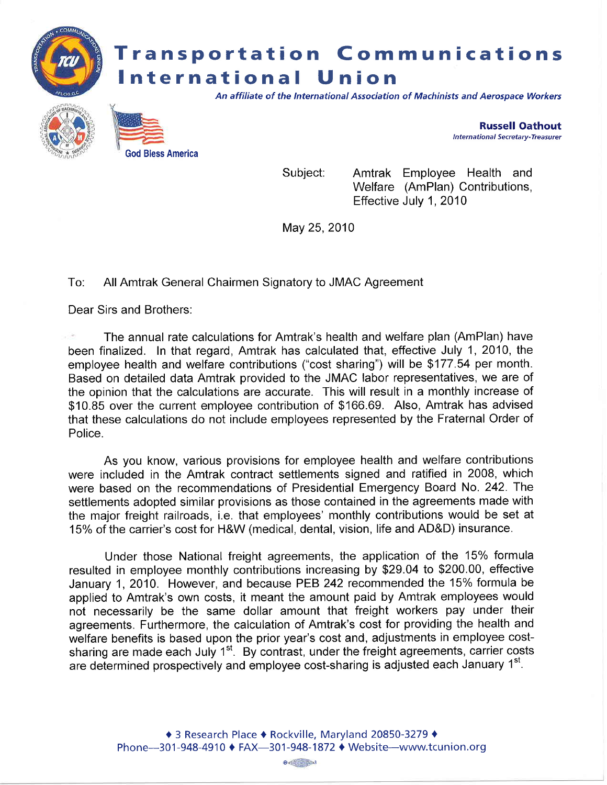

Amtrak Employee Health and Welfare (AmPlan) Contributions, Effective July 1, 2010 Subject:

May 25,2010

## To: All Amtrak General Chairmen Signatory to JMAC Agreement

Dear Sirs and Brothers:

God Bless America

The annual rate calculations for Amtrak's health and welfare plan (AmPlan) have been finalized. In that regard, Amtrak has calculated that, effective July 1,2010, the employee health and welfare contributions ("cost sharing") will be \$177.54 per month. Based on detailed data Amtrak provided to the JMAC labor representatives, we are of the opinion that the calculations are accurate. This will result in a monthly increase of \$10.85 over the current employee contribution of \$166.69. Also, Amtrak has advised that these calculations do not include employees represented by the Fraternal Order of Police.

As you know, various provisions for employee health and welfare contributions were included in the Amtrak contract settlements signed and ratified in 2008, which were based on the recommendations of Presidential Emergency Board No. 242. The settlements adopted similar provisions as those contained in the agreements made with the major freight railroads, i.e. that employees' monthly contributions would be set at 15% of the carrier's cost for H&W (medical, dental, vision, life and AD&D) insurance.

Under those National freight agreements, the application of the 15% formula resulted in employee monthly contributions increasing by \$29.04 to \$200.00, effective January 1,2010. However, and because PEB 242recommended the 15% formula be applied to Amtrak's own costs, it meant the amount paid by Amtrak employees would not necessarily be the same dollar amount that freight workers pay under their agreements. Furthermore, the calculation of Amtrak's cost for providing the health and welfare benefits is based upon the prior year's cost and, adjustments in employee costsharing are made each July  $1<sup>st</sup>$ . By contrast, under the freight agreements, carrier costs are determined prospectively and employee cost-sharing is adjusted each January 1<sup>st</sup>.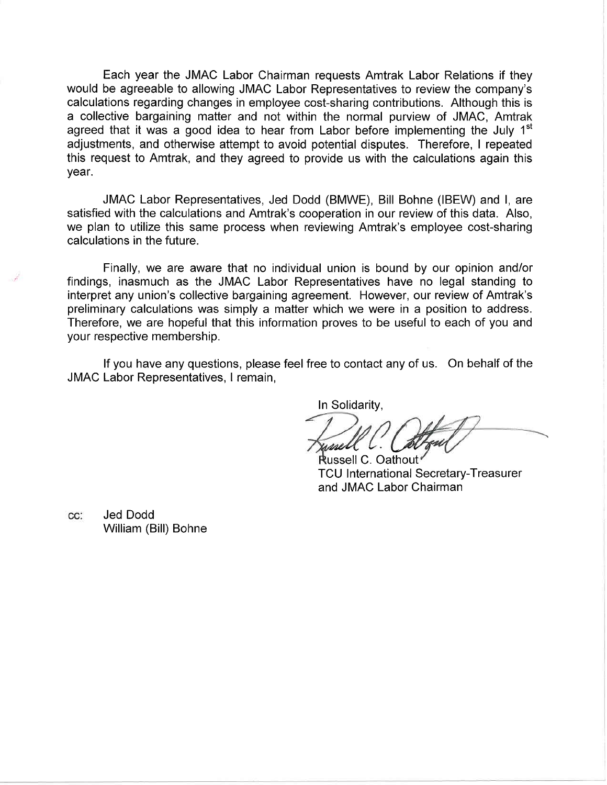Each year the JMAC Labor Chairman requests Amtrak Labor Relations if they would be agreeable to allowing JMAC Labor Representatives to review the company's calculations regarding changes in employee cost-sharing contributions. Although this is a collective bargaining matter and not within the normal purview of JMAC, Amtrak agreed that it was a good idea to hear from Labor before implementing the July  $1<sup>st</sup>$ adjustments, and otherwise attempt to avoid potential disputes. Therefore, I repeated this request to Amtrak, and they agreed to provide us with the calculations again this year.

JMAC Labor Representatives, Jed Dodd (BMWE), Bill Bohne (IBEW) and l, are satisfied with the calculations and Amtrak's cooperation in our review of this data. Also, we plan to utilize this same process when reviewing Amtrak's employee cost-sharing calculations in the future.

Finally, we are aware that no individual union is bound by our opinion and/or findings, inasmuch as the JMAC Labor Representatives have no legal standing to interpret any union's collective bargaining agreement. However, our review of Amtrak's preliminary calculations was simply a matter which we were in a position to address. Therefore, we are hopeful that this information proves to be useful to each of you and your respective membership.

lf you have any questions, please feel free to contact any of us. On behalf of the JMAC Labor Representatives, I remain,

In Solidarity,

 $\mathscr{M}$  v.  $\cup$ 

Russell C. Oathout **TCU International Secretary-Treasurer** and JMAC Labor Chairman

Jed Dodd CC: William (Bill) Bohne